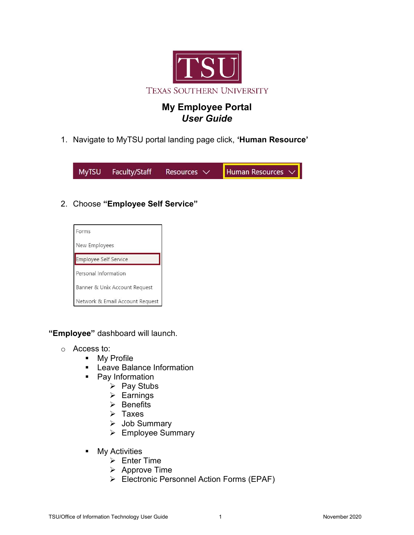

# My Employee Portal User Guide

1. Navigate to MyTSU portal landing page click, 'Human Resource'

**MyTSU** Faculty/Staff **Human Resources** Resources  $\vee$ 

# 2. Choose "Employee Self Service"



"Employee" dashboard will launch.

- o Access to:
	- **My Profile**
	- **EXEC** Leave Balance Information
	- Pay Information
		- $\triangleright$  Pay Stubs
		- $\triangleright$  Earnings
		- $\triangleright$  Benefits
		- $\triangleright$  Taxes
		- $\triangleright$  Job Summary
		- $\triangleright$  Employee Summary
	- **Ny Activities** 
		- $\triangleright$  Enter Time
		- $\triangleright$  Approve Time
		- Electronic Personnel Action Forms (EPAF)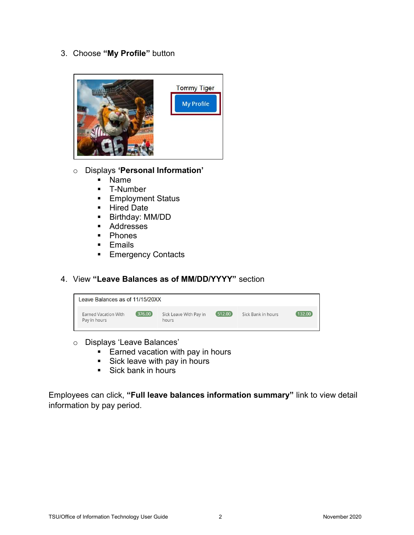3. Choose "My Profile" button



#### o Displays 'Personal Information'

- Name
- **T-Number**
- **Employment Status**
- **Hired Date**
- Birthday: MM/DD
- **Addresses**
- Phones
- **Emails**
- **Emergency Contacts**
- 4. View "Leave Balances as of MM/DD/YYYY" section

| Leave Balances as of 11/15/20XX      |          |                                 |          |                    |        |
|--------------------------------------|----------|---------------------------------|----------|--------------------|--------|
| Earned Vacation With<br>Pay in hours | (376.00) | Sick Leave With Pay in<br>hours | (512.00) | Sick Bank in hours | 132.00 |

- o Displays 'Leave Balances'
	- $\overline{\phantom{a}}$  Earned vacation with pay in hours
	- $Sick$  leave with pay in hours
	- Sick bank in hours

Employees can click, "Full leave balances information summary" link to view detail information by pay period.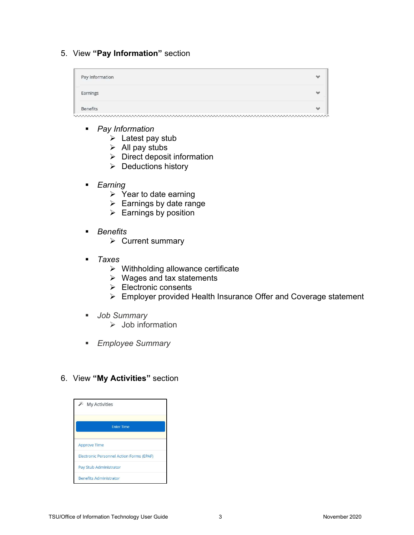## 5. View "Pay Information" section

| Pay Information | $\checkmark$             |
|-----------------|--------------------------|
| Earnings        | $\checkmark$             |
| <b>Benefits</b> | $\overline{\phantom{a}}$ |
|                 |                          |

- Pay Information
	- $\triangleright$  Latest pay stub
	- $\triangleright$  All pay stubs
	- $\triangleright$  Direct deposit information
	- $\triangleright$  Deductions history
- **Earning** 
	- $\triangleright$  Year to date earning
	- $\triangleright$  Earnings by date range
	- $\triangleright$  Earnings by position
- **Benefits** 
	- $\triangleright$  Current summary
- $-$  Taxes
	- $\triangleright$  Withholding allowance certificate
	- $\triangleright$  Wages and tax statements
	- $\triangleright$  Electronic consents
	- Employer provided Health Insurance Offer and Coverage statement
- **Job Summary** 
	- $\triangleright$  Job information
- **Employee Summary**

### 6. View "My Activities" section

| <b>My Activities</b>                            |
|-------------------------------------------------|
| <b>Enter Time</b>                               |
| <b>Approve Time</b>                             |
| <b>Electronic Personnel Action Forms (EPAF)</b> |
| Pay Stub Administrator                          |
| <b>Benefits Administrator</b>                   |